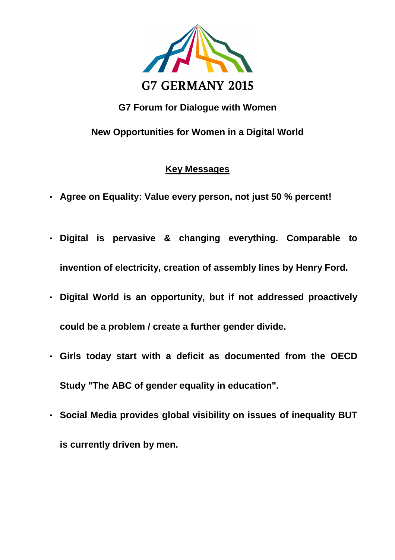

## **G7 Forum for Dialogue with Women**

**New Opportunities for Women in a Digital World**

## **Key Messages**

- **Agree on Equality: Value every person, not just 50 % percent!**
- **Digital is pervasive & changing everything. Comparable to invention of electricity, creation of assembly lines by Henry Ford.**
- **Digital World is an opportunity, but if not addressed proactively could be a problem / create a further gender divide.**
- **Girls today start with a deficit as documented from the OECD Study "The ABC of gender equality in education".**
- **Social Media provides global visibility on issues of inequality BUT is currently driven by men.**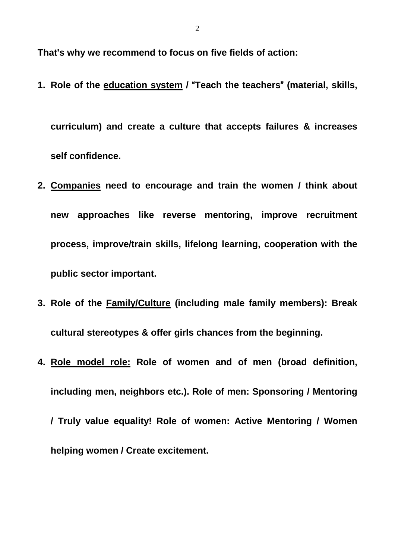**That's why we recommend to focus on five fields of action:**

**1. Role of the education system /** "**Teach the teachers**" **(material, skills,**

**curriculum) and create a culture that accepts failures & increases self confidence.**

- **2. Companies need to encourage and train the women / think about new approaches like reverse mentoring, improve recruitment process, improve/train skills, lifelong learning, cooperation with the public sector important.**
- **3. Role of the Family/Culture (including male family members): Break cultural stereotypes & offer girls chances from the beginning.**
- **4. Role model role: Role of women and of men (broad definition, including men, neighbors etc.). Role of men: Sponsoring / Mentoring / Truly value equality! Role of women: Active Mentoring / Women helping women / Create excitement.**